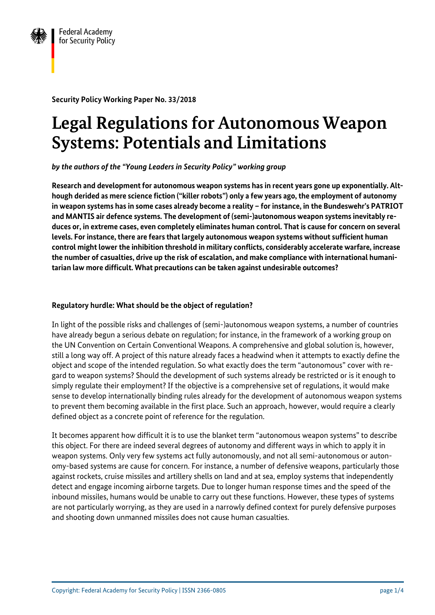

**Security Policy Working Paper No. 33/2018**

# **Legal Regulations for Autonomous Weapon Systems: Potentials and Limitations**

*by the authors of the "Young Leaders in Security Policy" working group*

**Research and development for autonomous weapon systems has in recent years gone up exponentially. Although derided as mere science fiction ("killer robots") only a few years ago, the employment of autonomy in weapon systems has in some cases already become a reality – for instance, in the Bundeswehr's PATRIOT and MANTIS air defence systems. The development of (semi-)autonomous weapon systems inevitably reduces or, in extreme cases, even completely eliminates human control. That is cause for concern on several levels. For instance, there are fears that largely autonomous weapon systems without sufficient human control might lower the inhibition threshold in military conflicts, considerably accelerate warfare, increase the number of casualties, drive up the risk of escalation, and make compliance with international humanitarian law more difficult. What precautions can be taken against undesirable outcomes?**

## **Regulatory hurdle: What should be the object of regulation?**

In light of the possible risks and challenges of (semi-)autonomous weapon systems, a number of countries have already begun a serious debate on regulation; for instance, in the framework of a working group on the UN Convention on Certain Conventional Weapons. A comprehensive and global solution is, however, still a long way off. A project of this nature already faces a headwind when it attempts to exactly define the object and scope of the intended regulation. So what exactly does the term "autonomous" cover with regard to weapon systems? Should the development of such systems already be restricted or is it enough to simply regulate their employment? If the objective is a comprehensive set of regulations, it would make sense to develop internationally binding rules already for the development of autonomous weapon systems to prevent them becoming available in the first place. Such an approach, however, would require a clearly defined object as a concrete point of reference for the regulation.

It becomes apparent how difficult it is to use the blanket term "autonomous weapon systems" to describe this object. For there are indeed several degrees of autonomy and different ways in which to apply it in weapon systems. Only very few systems act fully autonomously, and not all semi-autonomous or autonomy-based systems are cause for concern. For instance, a number of defensive weapons, particularly those against rockets, cruise missiles and artillery shells on land and at sea, employ systems that independently detect and engage incoming airborne targets. Due to longer human response times and the speed of the inbound missiles, humans would be unable to carry out these functions. However, these types of systems are not particularly worrying, as they are used in a narrowly defined context for purely defensive purposes and shooting down unmanned missiles does not cause human casualties.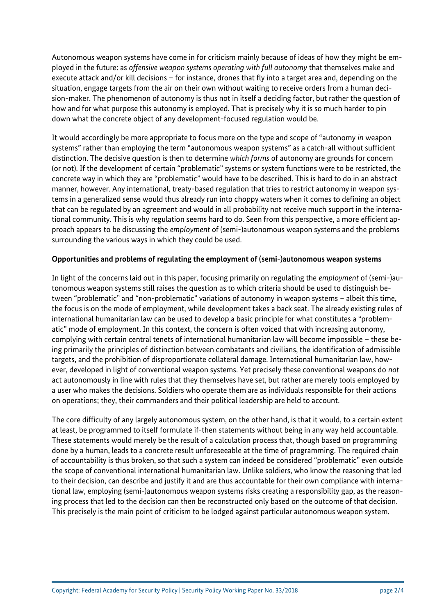Autonomous weapon systems have come in for criticism mainly because of ideas of how they might be employed in the future: as *offensive weapon systems operating with full autonomy* that themselves make and execute attack and/or kill decisions – for instance, drones that fly into a target area and, depending on the situation, engage targets from the air on their own without waiting to receive orders from a human decision-maker. The phenomenon of autonomy is thus not in itself a deciding factor, but rather the question of how and for what purpose this autonomy is employed. That is precisely why it is so much harder to pin down what the concrete object of any development-focused regulation would be.

It would accordingly be more appropriate to focus more on the type and scope of "autonomy *in* weapon systems" rather than employing the term "autonomous weapon systems" as a catch-all without sufficient distinction. The decisive question is then to determine *which forms* of autonomy are grounds for concern (or not). If the development of certain "problematic" systems or system functions were to be restricted, the concrete way in which they are "problematic" would have to be described. This is hard to do in an abstract manner, however. Any international, treaty-based regulation that tries to restrict autonomy in weapon systems in a generalized sense would thus already run into choppy waters when it comes to defining an object that can be regulated by an agreement and would in all probability not receive much support in the international community. This is why regulation seems hard to do. Seen from this perspective, a more efficient approach appears to be discussing the *employment* of (semi-)autonomous weapon systems and the problems surrounding the various ways in which they could be used.

#### **Opportunities and problems of regulating the employment of (semi-)autonomous weapon systems**

In light of the concerns laid out in this paper, focusing primarily on regulating the *employment* of (semi-)autonomous weapon systems still raises the question as to which criteria should be used to distinguish between "problematic" and "non-problematic" variations of autonomy in weapon systems – albeit this time, the focus is on the mode of employment, while development takes a back seat. The already existing rules of international humanitarian law can be used to develop a basic principle for what constitutes a "problematic" mode of employment. In this context, the concern is often voiced that with increasing autonomy, complying with certain central tenets of international humanitarian law will become impossible – these being primarily the principles of distinction between combatants and civilians, the identification of admissible targets, and the prohibition of disproportionate collateral damage. International humanitarian law, however, developed in light of conventional weapon systems. Yet precisely these conventional weapons do *not* act autonomously in line with rules that they themselves have set, but rather are merely tools employed by a user who makes the decisions. Soldiers who operate them are as individuals responsible for their actions on operations; they, their commanders and their political leadership are held to account.

The core difficulty of any largely autonomous system, on the other hand, is that it would, to a certain extent at least, be programmed to itself formulate if-then statements without being in any way held accountable. These statements would merely be the result of a calculation process that, though based on programming done by a human, leads to a concrete result unforeseeable at the time of programming. The required chain of accountability is thus broken, so that such a system can indeed be considered "problematic" even outside the scope of conventional international humanitarian law. Unlike soldiers, who know the reasoning that led to their decision, can describe and justify it and are thus accountable for their own compliance with international law, employing (semi-)autonomous weapon systems risks creating a responsibility gap, as the reasoning process that led to the decision can then be reconstructed only based on the outcome of that decision. This precisely is the main point of criticism to be lodged against particular autonomous weapon system.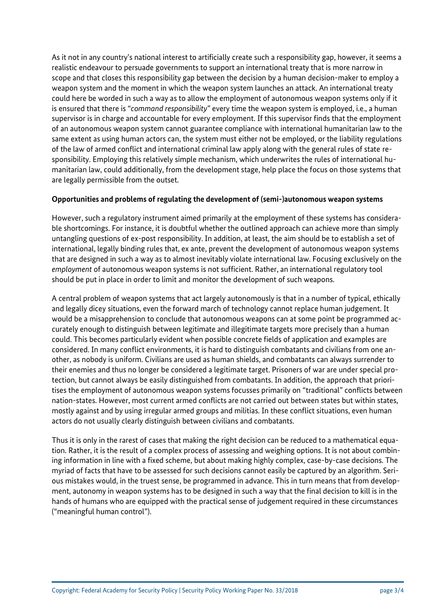As it not in any country's national interest to artificially create such a responsibility gap, however, it seems a realistic endeavour to persuade governments to support an international treaty that is more narrow in scope and that closes this responsibility gap between the decision by a human decision-maker to employ a weapon system and the moment in which the weapon system launches an attack. An international treaty could here be worded in such a way as to allow the employment of autonomous weapon systems only if it is ensured that there is "*command responsibility*" every time the weapon system is employed, i.e., a human supervisor is in charge and accountable for every employment. If this supervisor finds that the employment of an autonomous weapon system cannot guarantee compliance with international humanitarian law to the same extent as using human actors can, the system must either not be employed, or the liability regulations of the law of armed conflict and international criminal law apply along with the general rules of state responsibility. Employing this relatively simple mechanism, which underwrites the rules of international humanitarian law, could additionally, from the development stage, help place the focus on those systems that are legally permissible from the outset.

#### **Opportunities and problems of regulating the development of (semi-)autonomous weapon systems**

However, such a regulatory instrument aimed primarily at the employment of these systems has considerable shortcomings. For instance, it is doubtful whether the outlined approach can achieve more than simply untangling questions of ex-post responsibility. In addition, at least, the aim should be to establish a set of international, legally binding rules that, ex ante, prevent the development of autonomous weapon systems that are designed in such a way as to almost inevitably violate international law. Focusing exclusively on the *employment* of autonomous weapon systems is not sufficient. Rather, an international regulatory tool should be put in place in order to limit and monitor the development of such weapons.

A central problem of weapon systems that act largely autonomously is that in a number of typical, ethically and legally dicey situations, even the forward march of technology cannot replace human judgement. It would be a misapprehension to conclude that autonomous weapons can at some point be programmed accurately enough to distinguish between legitimate and illegitimate targets more precisely than a human could. This becomes particularly evident when possible concrete fields of application and examples are considered. In many conflict environments, it is hard to distinguish combatants and civilians from one another, as nobody is uniform. Civilians are used as human shields, and combatants can always surrender to their enemies and thus no longer be considered a legitimate target. Prisoners of war are under special protection, but cannot always be easily distinguished from combatants. In addition, the approach that prioritises the employment of autonomous weapon systems focusses primarily on "traditional" conflicts between nation-states. However, most current armed conflicts are not carried out between states but within states, mostly against and by using irregular armed groups and militias. In these conflict situations, even human actors do not usually clearly distinguish between civilians and combatants.

Thus it is only in the rarest of cases that making the right decision can be reduced to a mathematical equation. Rather, it is the result of a complex process of assessing and weighing options. It is not about combining information in line with a fixed scheme, but about making highly complex, case-by-case decisions. The myriad of facts that have to be assessed for such decisions cannot easily be captured by an algorithm. Serious mistakes would, in the truest sense, be programmed in advance. This in turn means that from development, autonomy in weapon systems has to be designed in such a way that the final decision to kill is in the hands of humans who are equipped with the practical sense of judgement required in these circumstances ("meaningful human control").